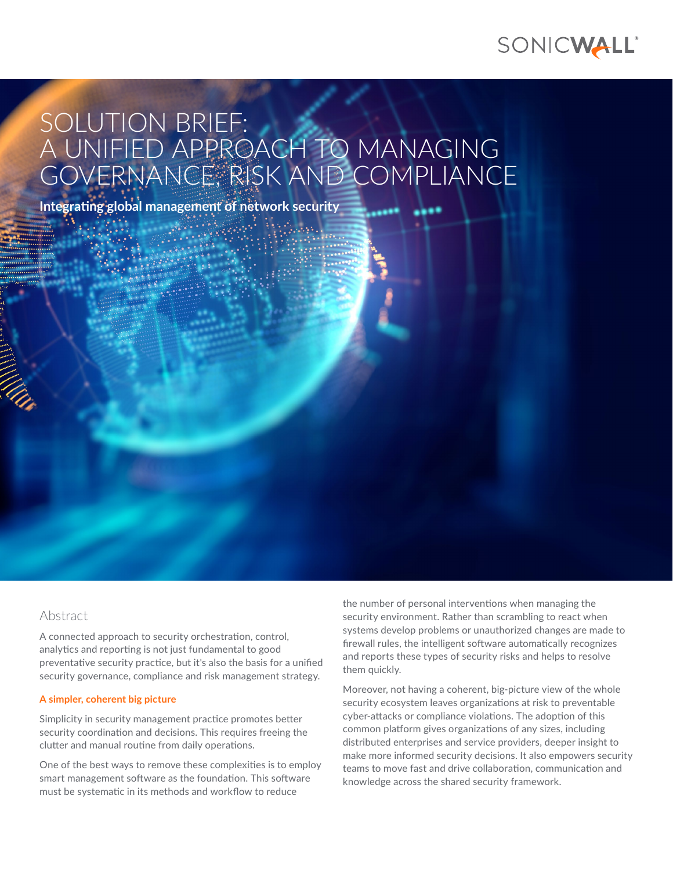

# SOLUTION BRIEF: A UNIFIED APPROACH TO MANAGING GOVERNANCE, RISK AND COMPLIANCE

**Integrating global management of network security** 

Abstract

A connected approach to security orchestration, control, analytics and reporting is not just fundamental to good preventative security practice, but it's also the basis for a unified security governance, compliance and risk management strategy.

#### **A simpler, coherent big picture**

Simplicity in security management practice promotes better security coordination and decisions. This requires freeing the clutter and manual routine from daily operations.

One of the best ways to remove these complexities is to employ smart management software as the foundation. This software must be systematic in its methods and workflow to reduce

the number of personal interventions when managing the security environment. Rather than scrambling to react when systems develop problems or unauthorized changes are made to firewall rules, the intelligent software automatically recognizes and reports these types of security risks and helps to resolve them quickly.

Moreover, not having a coherent, big-picture view of the whole security ecosystem leaves organizations at risk to preventable cyber-attacks or compliance violations. The adoption of this common platform gives organizations of any sizes, including distributed enterprises and service providers, deeper insight to make more informed security decisions. It also empowers security teams to move fast and drive collaboration, communication and knowledge across the shared security framework.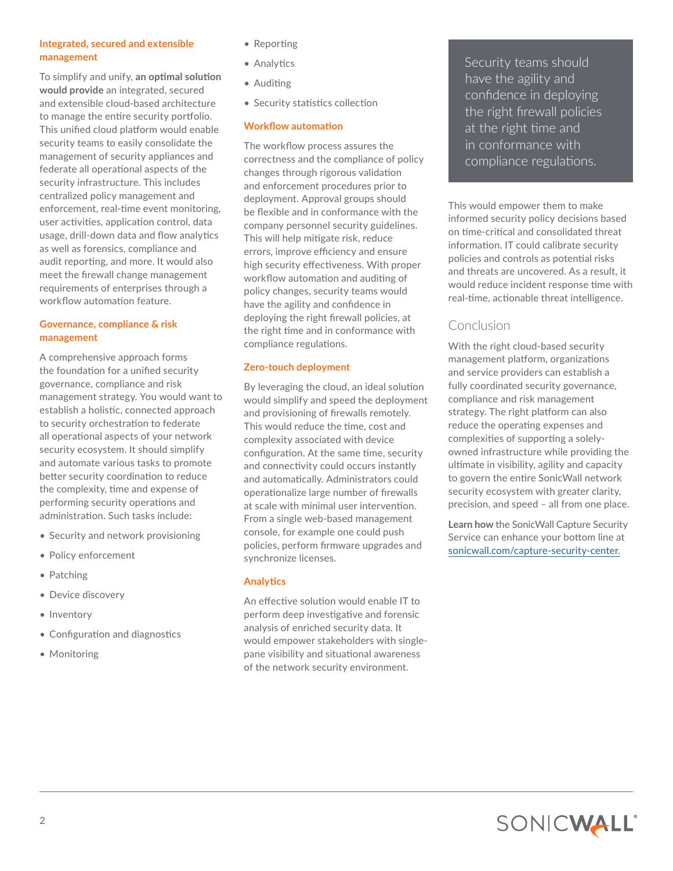### **Integrated, secured and extensible management**

To simplify and unify, **an optimal solution would provide** an integrated, secured and extensible cloud-based architecture to manage the entire security portfolio. This unified cloud platform would enable security teams to easily consolidate the management of security appliances and federate all operational aspects of the security infrastructure. This includes centralized policy management and enforcement, real-time event monitoring, user activities, application control, data usage, drill-down data and flow analytics as well as forensics, compliance and audit reporting, and more. It would also meet the firewall change management requirements of enterprises through a workflow automation feature.

# **Governance, compliance & risk management**

A comprehensive approach forms the foundation for a unified security governance, compliance and risk management strategy. You would want to establish a holistic, connected approach to security orchestration to federate all operational aspects of your network security ecosystem. It should simplify and automate various tasks to promote better security coordination to reduce the complexity, time and expense of performing security operations and administration. Such tasks include:

- Security and network provisioning
- Policy enforcement
- Patching
- Device discovery
- Inventory
- Configuration and diagnostics
- Monitoring
- Reporting
- Analytics
- Auditing
- Security statistics collection

# **Workflow automation**

The workflow process assures the correctness and the compliance of policy changes through rigorous validation and enforcement procedures prior to deployment. Approval groups should be flexible and in conformance with the company personnel security guidelines. This will help mitigate risk, reduce errors, improve efficiency and ensure high security effectiveness. With proper workflow automation and auditing of policy changes, security teams would have the agility and confidence in deploying the right firewall policies, at the right time and in conformance with compliance regulations.

# **Zero-touch deployment**

By leveraging the cloud, an ideal solution would simplify and speed the deployment and provisioning of firewalls remotely. This would reduce the time, cost and complexity associated with device configuration. At the same time, security and connectivity could occurs instantly and automatically. Administrators could operationalize large number of firewalls at scale with minimal user intervention. From a single web-based management console, for example one could push policies, perform firmware upgrades and synchronize licenses.

#### **Analytics**

An effective solution would enable IT to perform deep investigative and forensic analysis of enriched security data. It would empower stakeholders with singlepane visibility and situational awareness of the network security environment.

Security teams should have the agility and confidence in deploying the right firewall policies at the right time and in conformance with compliance regulations.

This would empower them to make informed security policy decisions based on time-critical and consolidated threat information. IT could calibrate security policies and controls as potential risks and threats are uncovered. As a result, it would reduce incident response time with real-time, actionable threat intelligence.

# Conclusion

With the right cloud-based security management platform, organizations and service providers can establish a fully coordinated security governance, compliance and risk management strategy. The right platform can also reduce the operating expenses and complexities of supporting a solelyowned infrastructure while providing the ultimate in visibility, agility and capacity to govern the entire SonicWall network security ecosystem with greater clarity, precision, and speed – all from one place.

**Learn how** the SonicWall Capture Security Service can enhance your bottom line at [sonicwall.com/capture-security-center.](https://sonicwall.com/capture-security-center)